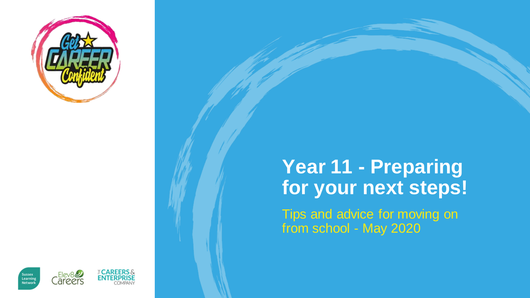

## **Year 11 - Preparing for your next steps!**

Tips and advice for moving on from school - May 2020

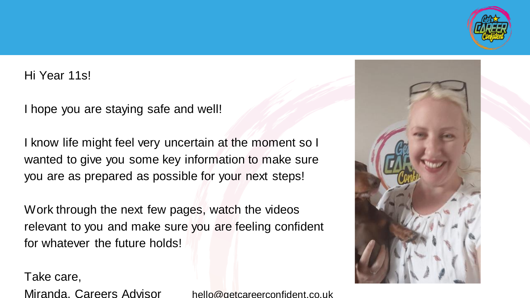

#### Hi Year 11s!

I hope you are staying safe and well!

I know life might feel very uncertain at the moment so I wanted to give you some key information to make sure you are as prepared as possible for your next steps!

Work through the next few pages, watch the videos relevant to you and make sure you are feeling confident for whatever the future holds!

Take care,

Miranda, Careers Advisor hello@getcareerconfident.co.uk

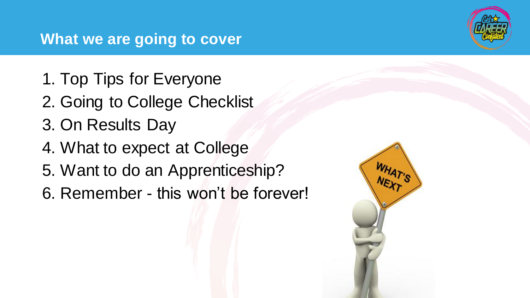## **What we are going to cover**

- 1. Top Tips for Everyone
- 2. Going to College Checklist
- 3. On Results Day
- 4. What to expect at College
- 5. Want to do an Apprenticeship?
- 6. Remember this won't be forever!



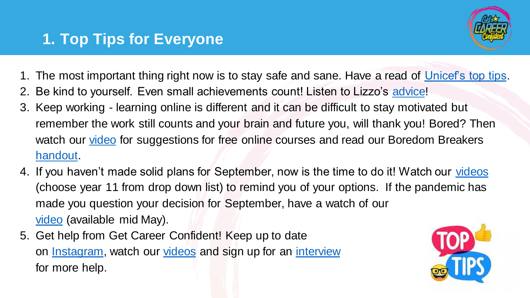

- 1. The most important thing right now is to stay safe and sane. Have a read of [Unicef's top tips.](https://www.unicef.org/coronavirus/how-teenagers-can-protect-their-mental-health-during-coronavirus-covid-19)
- Be kind to yourself. Even small achievements count! Listen to Lizzo's [advice!](https://www.facebook.com/watch/?v=1081372812047950)
- 3. Keep working learning online is different and it can be difficult to stay motivated but remember the work still counts and your brain and future you, will thank you! Bored? Then watch our [video](https://youtu.be/5mwYBIriUd0) for suggestions for free online courses and read our Boredom Breakers [handout.](https://www.getcareerconfident.co.uk/students/downloads)
- 4. If you haven't made solid plans for September, now is the time to do it! Watch our [videos](https://www.getcareerconfident.co.uk/resources/how-to-videos) (choose year 11 from drop down list) to remind you of your options. If the pandemic has made you question your decision for September, have a watch of our [video](https://www.getcareerconfident.co.uk/resources/how-to-videos) (available mid May).
- 5. Get help from Get Career Confident! Keep up to date on [Instagram,](https://www.instagram.com/getcconfident/?hl=en) watch our [videos](https://www.getcareerconfident.co.uk/resources) and sign up for an [interview](https://www.getcareerconfident.co.uk/parents/11-video-call) for more help.

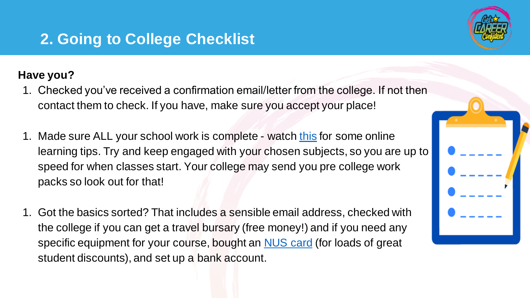## **2. Going to College Checklist**

#### **Have you?**

- 1. Checked you've received a confirmation email/letter from the college. If not then contact them to check. If you have, make sure you accept your place!
- 1. Made sure ALL your school work is complete watch [this](https://www.youtube.com/channel/UCdvKBEeU97cifqSMU8P6t6g) for some online learning tips. Try and keep engaged with your chosen subjects, so you are up to speed for when classes start. Your college may send you pre college work packs so look out for that!
- 1. Got the basics sorted? That includes a sensible email address, checked with the college if you can get a travel bursary (free money!) and if you need any specific equipment for your course, bought an **NUS card** (for loads of great student discounts), and set up a bank account.



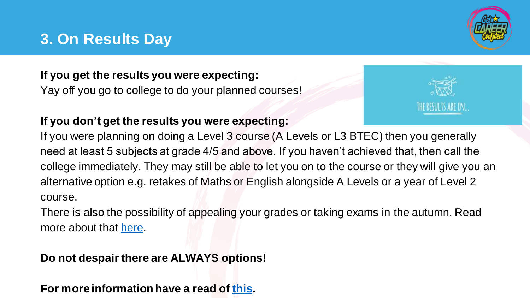## **3. On Results Day**

#### **If you get the results you were expecting:**

Yay off you go to college to do your planned courses!

#### **If you don't get the results you were expecting:**

THE RESULTS ARE IN...

If you were planning on doing a Level 3 course (A Levels or L3 BTEC) then you generally need at least 5 subjects at grade 4/5 and above. If you haven't achieved that, then call the college immediately. They may still be able to let you on to the course or they will give you an alternative option e.g. retakes of Maths or English alongside A Levels or a year of Level 2 course.

There is also the possibility of appealing your grades or taking exams in the autumn. Read more about that [here.](https://www.gov.uk/government/publications/coronavirus-covid-19-cancellation-of-gcses-as-and-a-levels-in-2020/coronavirus-covid-19-cancellation-of-gcses-as-and-a-levels-in-2020)

#### **Do not despair there are ALWAYS options!**

**For more information have a read of [this.](https://drive.google.com/file/d/1ZvVKQJLT8wmJqgGQ08xs0OLbgOYosvSc/view?usp=sharing)**

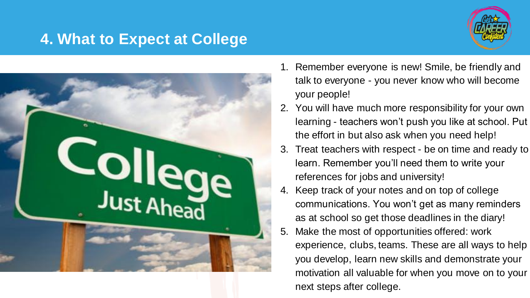## **4. What to Expect at College**





- 1. Remember everyone is new! Smile, be friendly and talk to everyone - you never know who will become your people!
- 2. You will have much more responsibility for your own learning - teachers won't push you like at school. Put the effort in but also ask when you need help!
- 3. Treat teachers with respect be on time and ready to learn. Remember you'll need them to write your references for jobs and university!
- 4. Keep track of your notes and on top of college communications. You won't get as many reminders as at school so get those deadlines in the diary!
- 5. Make the most of opportunities offered: work experience, clubs, teams. These are all ways to help you develop, learn new skills and demonstrate your motivation all valuable for when you move on to your next steps after college.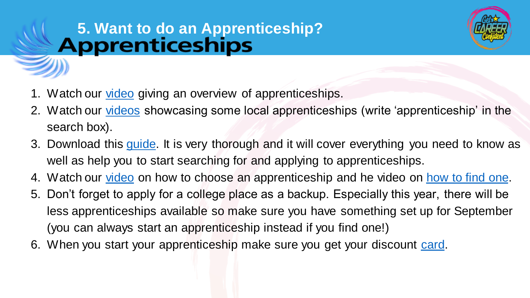# **5. Want to do an Apprenticeship?**



- 1. Watch our [video](https://youtu.be/za6A35iGaok) giving an overview of apprenticeships.
- 2. Watch our [videos](https://www.getcareerconfident.co.uk/resources/see-to-be-videos) showcasing some local apprenticeships (write 'apprenticeship' in the search box).
- 3. Download this *guide*. It is very thorough and it will cover everything you need to know as well as help you to start searching for and applying to apprenticeships.
- 4. Watch our [video](https://youtu.be/0c0NuM6EKwA) on how to choose an apprenticeship and he video on [how to find one.](https://youtu.be/esxxkXp5fyw)
- 5. Don't forget to apply for a college place as a backup. Especially this year, there will be less apprenticeships available so make sure you have something set up for September (you can always start an apprenticeship instead if you find one!)
- 6. When you start your apprenticeship make sure you get your discount [card.](https://www.apprenticeextra.co.uk/)